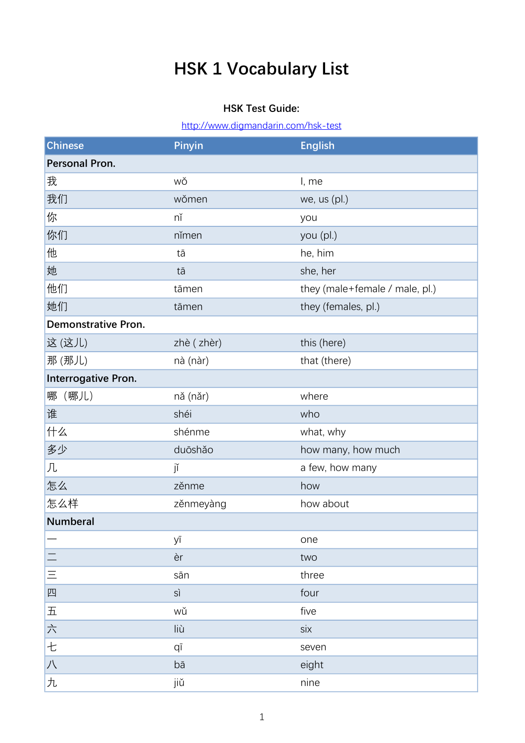## HSK 1 Vocabulary List

## HSK Test Guide:

http://www.digmandarin.com/hsk-test

| <b>Chinese</b>                  | Pinyin     | <b>English</b>                 |
|---------------------------------|------------|--------------------------------|
| Personal Pron.                  |            |                                |
| 我                               | wǒ         | I, me                          |
| 我们                              | wǒmen      | we, us (pl.)                   |
| 你                               | nĭ         | you                            |
| 你们                              | nĭmen      | you (pl.)                      |
| 他                               | tā         | he, him                        |
| 她                               | tā         | she, her                       |
| 他们                              | tāmen      | they (male+female / male, pl.) |
| 她们                              | tāmen      | they (females, pl.)            |
| <b>Demonstrative Pron.</b>      |            |                                |
| 这(这儿)                           | zhè (zhèr) | this (here)                    |
| 那(那儿)                           | nà (nàr)   | that (there)                   |
| Interrogative Pron.             |            |                                |
| 哪 (哪儿)                          | nă (năr)   | where                          |
| 谁                               | shéi       | who                            |
| 什么                              | shénme     | what, why                      |
| 多少                              | duōshǎo    | how many, how much             |
| 几                               | jĭ         | a few, how many                |
| 怎么                              | zěnme      | how                            |
| 怎么样                             | zěnmeyàng  | how about                      |
| <b>Numberal</b>                 |            |                                |
|                                 | уī         | one                            |
|                                 | èr         | two                            |
| $\equiv$                        | sān        | three                          |
| 四                               | sì         | four                           |
| $\overline{\mathrm{h}}$         | wŭ         | five                           |
| $\frac{\Delta}{\sqrt{\lambda}}$ | liù        | six                            |
| 七                               | qī         | seven                          |
| 八                               | bā         | eight                          |
| 九                               | jiŭ        | nine                           |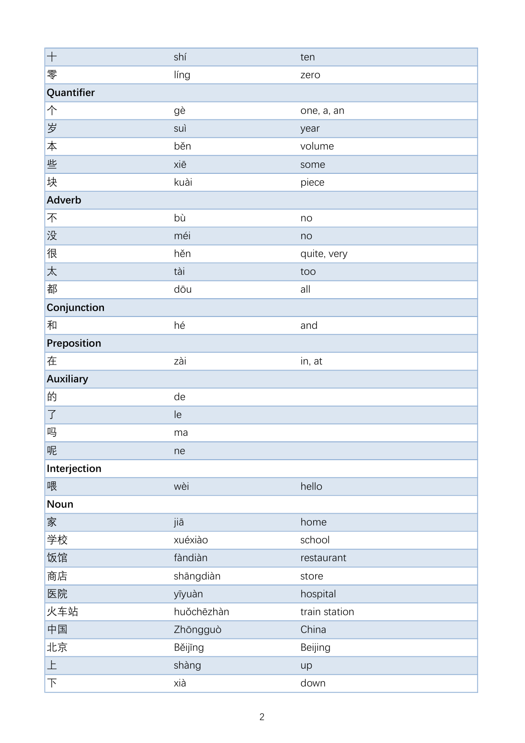| $+$            | shí        | ten           |
|----------------|------------|---------------|
| 零              | líng       | zero          |
| Quantifier     |            |               |
| 个              | gè         | one, a, an    |
| 岁              | suì        | year          |
| 本              | běn        | volume        |
| 些              | xiē        | some          |
| 块              | kuài       | piece         |
| Adverb         |            |               |
| 不              | bù         | no            |
| 没              | méi        | no            |
| 很              | hěn        | quite, very   |
| 太              | tài        | too           |
| 都              | dōu        | all           |
| Conjunction    |            |               |
| 和              | hé         | and           |
| Preposition    |            |               |
| 在              | zài        | in, at        |
| Auxiliary      |            |               |
| 的              | de         |               |
| $\overline{J}$ | le         |               |
| 吗              | ma         |               |
| 呢              | ne         |               |
| Interjection   |            |               |
| 喂              | wèi        | hello         |
| Noun           |            |               |
| 家              | jiā        | home          |
| 学校             | xuéxiào    | school        |
| 饭馆             | fàndiàn    | restaurant    |
| 商店             | shāngdiàn  | store         |
| 医院             | yīyuàn     | hospital      |
| 火车站            | huǒchēzhàn | train station |
| 中国             | Zhōngguò   | China         |
| 北京             | Běijīng    | Beijing       |
| $\top$         | shàng      | up            |
| 下              | xià        | down          |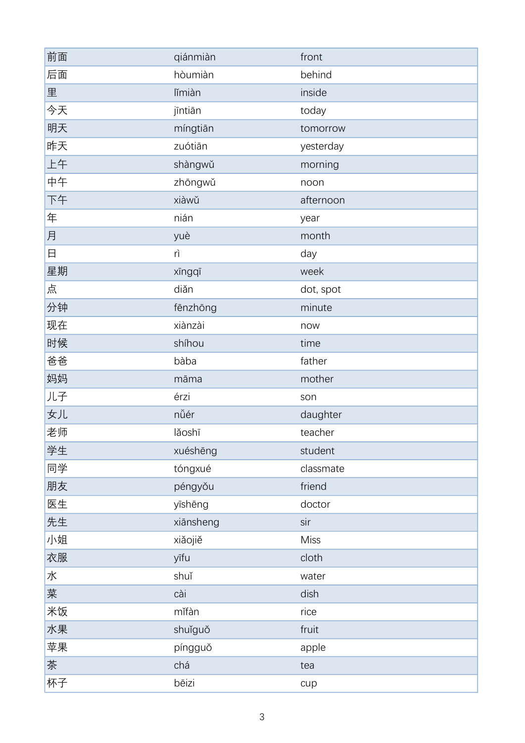| 前面 | qiánmiàn  | front       |
|----|-----------|-------------|
| 后面 | hòumiàn   | behind      |
| 里  | lĭmiàn    | inside      |
| 今天 | jīntiān   | today       |
| 明天 | míngtiān  | tomorrow    |
| 昨天 | zuótiān   | yesterday   |
| 上午 | shàngwǔ   | morning     |
| 中午 | zhōngwǔ   | noon        |
| 下午 | xiàwǔ     | afternoon   |
| 年  | nián      | year        |
| 月  | yuè       | month       |
| 日  | rì        | day         |
| 星期 | xīngqī    | week        |
| 点  | diǎn      | dot, spot   |
| 分钟 | fēnzhōng  | minute      |
| 现在 | xiànzài   | now         |
| 时候 | shíhou    | time        |
| 爸爸 | bàba      | father      |
| 妈妈 | māma      | mother      |
| 儿子 | érzi      | son         |
| 女儿 | nǚér      | daughter    |
| 老师 | lǎoshī    | teacher     |
| 学生 | xuéshēng  | student     |
| 同学 | tóngxué   | classmate   |
| 朋友 | péngyǒu   | friend      |
| 医生 | yīshēng   | doctor      |
| 先生 | xiānsheng | sir         |
| 小姐 | xiǎojiě   | <b>Miss</b> |
| 衣服 | yīfu      | cloth       |
| 水  | shuǐ      | water       |
| 莱  | cài       | dish        |
| 米饭 | mǐfàn     | rice        |
| 水果 | shuǐguǒ   | fruit       |
| 苹果 | píngguǒ   | apple       |
| 茶  | chá       | tea         |
| 杯子 | bēizi     | cup         |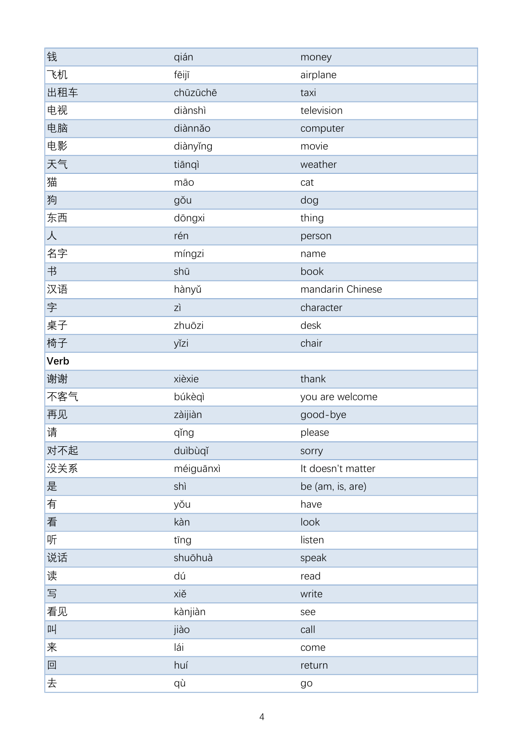| 钱    | qián      | money             |
|------|-----------|-------------------|
| 飞机   | fēijī     | airplane          |
| 出租车  | chūzūchē  | taxi              |
| 电视   | diànshì   | television        |
| 电脑   | diànnǎo   | computer          |
| 电影   | diànyǐng  | movie             |
| 天气   | tiānqì    | weather           |
| 猫    | māo       | cat               |
| 狗    | gǒu       | dog               |
| 东西   | dōngxi    | thing             |
| 人    | rén       | person            |
| 名字   | míngzi    | name              |
| 书    | shū       | book              |
| 汉语   | hànyǔ     | mandarin Chinese  |
| 字    | zì        | character         |
| 桌子   | zhuōzi    | desk              |
| 椅子   | yĭzi      | chair             |
| Verb |           |                   |
| 谢谢   | xièxie    | thank             |
| 不客气  | búkèqì    | you are welcome   |
| 再见   | zàijiàn   | good-bye          |
| 请    | qǐng      | please            |
| 对不起  | duìbùqǐ   | sorry             |
| 没关系  | méiguānxì | It doesn't matter |
| 是    | shì       | be (am, is, are)  |
| 有    | yǒu       | have              |
| 看    | kàn       | look              |
| 听    | tīng      | listen            |
| 说话   | shuōhuà   | speak             |
| 读    | dú        | read              |
| 写    | xiě       | write             |
| 看见   | kànjiàn   | see               |
| 叫    | jiào      | call              |
| 来    | lái       | come              |
| 回    | huí       | return            |
|      |           |                   |